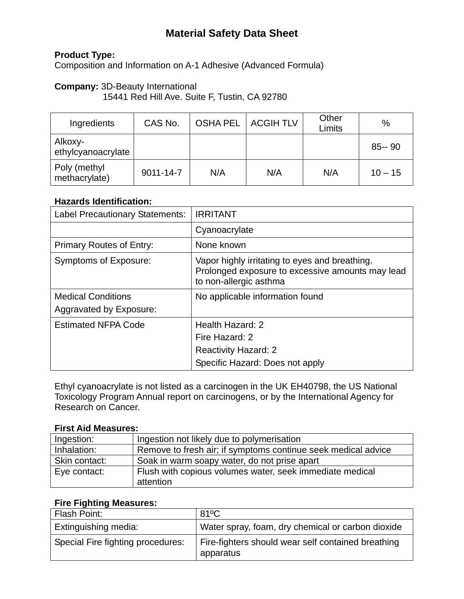# **Material Safety Data Sheet**

# **Product Type:**

Composition and Information on A-1 Adhesive (Advanced Formula)

## **Company:** 3D-Beauty International

15441 Red Hill Ave. Suite F, Tustin, CA 92780

| Ingredients                   | CAS No.   |     | OSHA PEL   ACGIH TLV | Other<br>Limits | %         |
|-------------------------------|-----------|-----|----------------------|-----------------|-----------|
| Alkoxy-<br>ethylcyanoacrylate |           |     |                      |                 | $85 - 90$ |
| Poly (methyl<br>methacrylate) | 9011-14-7 | N/A | N/A                  | N/A             | $10 - 15$ |

### **Hazards Identification:**

| <b>Label Precautionary Statements:</b>               | <b>IRRITANT</b>                                                                                                              |
|------------------------------------------------------|------------------------------------------------------------------------------------------------------------------------------|
|                                                      | Cyanoacrylate                                                                                                                |
| <b>Primary Routes of Entry:</b>                      | None known                                                                                                                   |
| <b>Symptoms of Exposure:</b>                         | Vapor highly irritating to eyes and breathing.<br>Prolonged exposure to excessive amounts may lead<br>to non-allergic asthma |
| <b>Medical Conditions</b><br>Aggravated by Exposure: | No applicable information found                                                                                              |
| <b>Estimated NFPA Code</b>                           | Health Hazard: 2<br>Fire Hazard: 2<br><b>Reactivity Hazard: 2</b><br>Specific Hazard: Does not apply                         |

Ethyl cyanoacrylate is not listed as a carcinogen in the UK EH40798, the US National Toxicology Program Annual report on carcinogens, or by the International Agency for Research on Cancer.

#### **First Aid Measures:**

| Ingestion:    | Ingestion not likely due to polymerisation                    |
|---------------|---------------------------------------------------------------|
| Inhalation:   | Remove to fresh air; if symptoms continue seek medical advice |
| Skin contact: | Soak in warm soapy water, do not prise apart                  |
| Eye contact:  | Flush with copious volumes water, seek immediate medical      |
|               | attention                                                     |

#### **Fire Fighting Measures:**

| Flash Point:                      | $81^{\circ}$ C                                                  |
|-----------------------------------|-----------------------------------------------------------------|
| Extinguishing media:              | Water spray, foam, dry chemical or carbon dioxide               |
| Special Fire fighting procedures: | Fire-fighters should wear self contained breathing<br>apparatus |